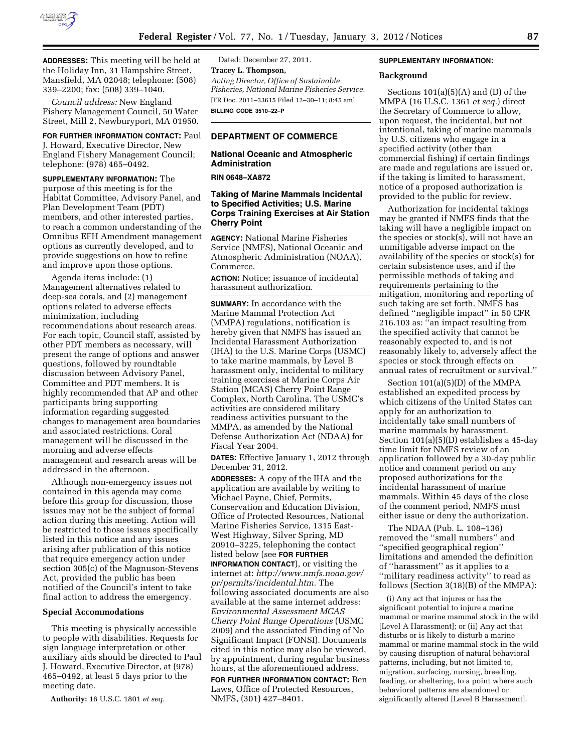

**ADDRESSES:** This meeting will be held at the Holiday Inn, 31 Hampshire Street, Mansfield, MA 02048; telephone: (508) 339–2200; fax: (508) 339–1040.

*Council address:* New England Fishery Management Council, 50 Water Street, Mill 2, Newburyport, MA 01950.

# **FOR FURTHER INFORMATION CONTACT:** Paul

J. Howard, Executive Director, New England Fishery Management Council; telephone: (978) 465–0492.

**SUPPLEMENTARY INFORMATION:** The purpose of this meeting is for the Habitat Committee, Advisory Panel, and Plan Development Team (PDT) members, and other interested parties, to reach a common understanding of the Omnibus EFH Amendment management options as currently developed, and to provide suggestions on how to refine and improve upon those options.

Agenda items include: (1) Management alternatives related to deep-sea corals, and (2) management options related to adverse effects minimization, including recommendations about research areas. For each topic, Council staff, assisted by other PDT members as necessary, will present the range of options and answer questions, followed by roundtable discussion between Advisory Panel, Committee and PDT members. It is highly recommended that AP and other participants bring supporting information regarding suggested changes to management area boundaries and associated restrictions. Coral management will be discussed in the morning and adverse effects management and research areas will be addressed in the afternoon.

Although non-emergency issues not contained in this agenda may come before this group for discussion, those issues may not be the subject of formal action during this meeting. Action will be restricted to those issues specifically listed in this notice and any issues arising after publication of this notice that require emergency action under section 305(c) of the Magnuson-Stevens Act, provided the public has been notified of the Council's intent to take final action to address the emergency.

#### **Special Accommodations**

This meeting is physically accessible to people with disabilities. Requests for sign language interpretation or other auxiliary aids should be directed to Paul J. Howard, Executive Director, at (978) 465–0492, at least 5 days prior to the meeting date.

**Authority:** 16 U.S.C. 1801 *et seq.* 

Dated: December 27, 2011. **Tracey L. Thompson,**  *Acting Director, Office of Sustainable Fisheries, National Marine Fisheries Service.*  [FR Doc. 2011–33615 Filed 12–30–11; 8:45 am] **BILLING CODE 3510–22–P** 

## **DEPARTMENT OF COMMERCE**

# **National Oceanic and Atmospheric Administration**

### **RIN 0648–XA872**

# **Taking of Marine Mammals Incidental to Specified Activities; U.S. Marine Corps Training Exercises at Air Station Cherry Point**

**AGENCY:** National Marine Fisheries Service (NMFS), National Oceanic and Atmospheric Administration (NOAA), Commerce.

**ACTION:** Notice; issuance of incidental harassment authorization.

**SUMMARY:** In accordance with the Marine Mammal Protection Act (MMPA) regulations, notification is hereby given that NMFS has issued an Incidental Harassment Authorization (IHA) to the U.S. Marine Corps (USMC) to take marine mammals, by Level B harassment only, incidental to military training exercises at Marine Corps Air Station (MCAS) Cherry Point Range Complex, North Carolina. The USMC's activities are considered military readiness activities pursuant to the MMPA, as amended by the National Defense Authorization Act (NDAA) for Fiscal Year 2004.

**DATES:** Effective January 1, 2012 through December 31, 2012.

**ADDRESSES:** A copy of the IHA and the application are available by writing to Michael Payne, Chief, Permits, Conservation and Education Division, Office of Protected Resources, National Marine Fisheries Service, 1315 East-West Highway, Silver Spring, MD 20910–3225, telephoning the contact listed below (see **FOR FURTHER INFORMATION CONTACT**), or visiting the internet at: *[http://www.nmfs.noaa.gov/](http://www.nmfs.noaa.gov/pr/permits/incidental.htm)  [pr/permits/incidental.htm.](http://www.nmfs.noaa.gov/pr/permits/incidental.htm)* The following associated documents are also available at the same internet address: *Environmental Assessment MCAS Cherry Point Range Operations* (USMC 2009) and the associated Finding of No Significant Impact (FONSI). Documents cited in this notice may also be viewed, by appointment, during regular business hours, at the aforementioned address.

**FOR FURTHER INFORMATION CONTACT:** Ben Laws, Office of Protected Resources, NMFS, (301) 427–8401.

#### **SUPPLEMENTARY INFORMATION:**

#### **Background**

Sections  $101(a)(5)(A)$  and  $(D)$  of the MMPA (16 U.S.C. 1361 *et seq.*) direct the Secretary of Commerce to allow, upon request, the incidental, but not intentional, taking of marine mammals by U.S. citizens who engage in a specified activity (other than commercial fishing) if certain findings are made and regulations are issued or, if the taking is limited to harassment, notice of a proposed authorization is provided to the public for review.

Authorization for incidental takings may be granted if NMFS finds that the taking will have a negligible impact on the species or stock(s), will not have an unmitigable adverse impact on the availability of the species or stock(s) for certain subsistence uses, and if the permissible methods of taking and requirements pertaining to the mitigation, monitoring and reporting of such taking are set forth. NMFS has defined ''negligible impact'' in 50 CFR 216.103 as: ''an impact resulting from the specified activity that cannot be reasonably expected to, and is not reasonably likely to, adversely affect the species or stock through effects on annual rates of recruitment or survival.''

Section 101(a)(5)(D) of the MMPA established an expedited process by which citizens of the United States can apply for an authorization to incidentally take small numbers of marine mammals by harassment. Section 101(a)(5)(D) establishes a 45-day time limit for NMFS review of an application followed by a 30-day public notice and comment period on any proposed authorizations for the incidental harassment of marine mammals. Within 45 days of the close of the comment period, NMFS must either issue or deny the authorization.

The NDAA (Pub. L. 108–136) removed the ''small numbers'' and ''specified geographical region'' limitations and amended the definition of ''harassment'' as it applies to a ''military readiness activity'' to read as follows (Section 3(18)(B) of the MMPA):

(i) Any act that injures or has the significant potential to injure a marine mammal or marine mammal stock in the wild [Level A Harassment]; or (ii) Any act that disturbs or is likely to disturb a marine mammal or marine mammal stock in the wild by causing disruption of natural behavioral patterns, including, but not limited to, migration, surfacing, nursing, breeding, feeding, or sheltering, to a point where such behavioral patterns are abandoned or significantly altered [Level B Harassment].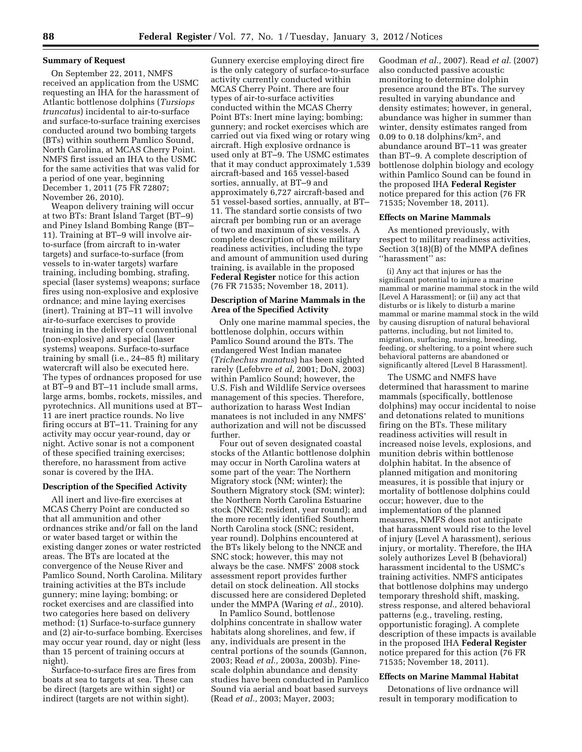## **Summary of Request**

On September 22, 2011, NMFS received an application from the USMC requesting an IHA for the harassment of Atlantic bottlenose dolphins (*Tursiops truncatus*) incidental to air-to-surface and surface-to-surface training exercises conducted around two bombing targets (BTs) within southern Pamlico Sound, North Carolina, at MCAS Cherry Point. NMFS first issued an IHA to the USMC for the same activities that was valid for a period of one year, beginning December 1, 2011 (75 FR 72807; November 26, 2010).

Weapon delivery training will occur at two BTs: Brant Island Target (BT–9) and Piney Island Bombing Range (BT– 11). Training at BT–9 will involve airto-surface (from aircraft to in-water targets) and surface-to-surface (from vessels to in-water targets) warfare training, including bombing, strafing, special (laser systems) weapons; surface fires using non-explosive and explosive ordnance; and mine laying exercises (inert). Training at BT–11 will involve air-to-surface exercises to provide training in the delivery of conventional (non-explosive) and special (laser systems) weapons. Surface-to-surface training by small (i.e., 24–85 ft) military watercraft will also be executed here. The types of ordnances proposed for use at BT–9 and BT–11 include small arms, large arms, bombs, rockets, missiles, and pyrotechnics. All munitions used at BT– 11 are inert practice rounds. No live firing occurs at BT–11. Training for any activity may occur year-round, day or night. Active sonar is not a component of these specified training exercises; therefore, no harassment from active sonar is covered by the IHA.

## **Description of the Specified Activity**

All inert and live-fire exercises at MCAS Cherry Point are conducted so that all ammunition and other ordnances strike and/or fall on the land or water based target or within the existing danger zones or water restricted areas. The BTs are located at the convergence of the Neuse River and Pamlico Sound, North Carolina. Military training activities at the BTs include gunnery; mine laying; bombing; or rocket exercises and are classified into two categories here based on delivery method: (1) Surface-to-surface gunnery and (2) air-to-surface bombing. Exercises may occur year round, day or night (less than 15 percent of training occurs at night).

Surface-to-surface fires are fires from boats at sea to targets at sea. These can be direct (targets are within sight) or indirect (targets are not within sight).

Gunnery exercise employing direct fire is the only category of surface-to-surface activity currently conducted within MCAS Cherry Point. There are four types of air-to-surface activities conducted within the MCAS Cherry Point BTs: Inert mine laying; bombing; gunnery; and rocket exercises which are carried out via fixed wing or rotary wing aircraft. High explosive ordnance is used only at BT–9. The USMC estimates that it may conduct approximately 1,539 aircraft-based and 165 vessel-based sorties, annually, at BT–9 and approximately 6,727 aircraft-based and 51 vessel-based sorties, annually, at BT– 11. The standard sortie consists of two aircraft per bombing run or an average of two and maximum of six vessels. A complete description of these military readiness activities, including the type and amount of ammunition used during training, is available in the proposed **Federal Register** notice for this action (76 FR 71535; November 18, 2011).

## **Description of Marine Mammals in the Area of the Specified Activity**

Only one marine mammal species, the bottlenose dolphin, occurs within Pamlico Sound around the BTs. The endangered West Indian manatee (*Trichechus manatus*) has been sighted rarely (Lefebvre *et al,* 2001; DoN, 2003) within Pamlico Sound; however, the U.S. Fish and Wildlife Service oversees management of this species. Therefore, authorization to harass West Indian manatees is not included in any NMFS' authorization and will not be discussed further.

Four out of seven designated coastal stocks of the Atlantic bottlenose dolphin may occur in North Carolina waters at some part of the year: The Northern Migratory stock (NM; winter); the Southern Migratory stock (SM; winter); the Northern North Carolina Estuarine stock (NNCE; resident, year round); and the more recently identified Southern North Carolina stock (SNC; resident, year round). Dolphins encountered at the BTs likely belong to the NNCE and SNC stock; however, this may not always be the case. NMFS' 2008 stock assessment report provides further detail on stock delineation. All stocks discussed here are considered Depleted under the MMPA (Waring *et al.,* 2010).

In Pamlico Sound, bottlenose dolphins concentrate in shallow water habitats along shorelines, and few, if any, individuals are present in the central portions of the sounds (Gannon, 2003; Read *et al.,* 2003a, 2003b). Finescale dolphin abundance and density studies have been conducted in Pamlico Sound via aerial and boat based surveys (Read *et al.,* 2003; Mayer, 2003;

Goodman *et al.,* 2007). Read *et al.* (2007) also conducted passive acoustic monitoring to determine dolphin presence around the BTs. The survey resulted in varying abundance and density estimates; however, in general, abundance was higher in summer than winter, density estimates ranged from 0.09 to 0.18 dolphins/km2, and abundance around BT–11 was greater than BT–9. A complete description of bottlenose dolphin biology and ecology within Pamlico Sound can be found in the proposed IHA **Federal Register**  notice prepared for this action (76 FR 71535; November 18, 2011).

#### **Effects on Marine Mammals**

As mentioned previously, with respect to military readiness activities, Section 3(18)(B) of the MMPA defines ''harassment'' as:

(i) Any act that injures or has the significant potential to injure a marine mammal or marine mammal stock in the wild [Level A Harassment]; or (ii) any act that disturbs or is likely to disturb a marine mammal or marine mammal stock in the wild by causing disruption of natural behavioral patterns, including, but not limited to, migration, surfacing, nursing, breeding, feeding, or sheltering, to a point where such behavioral patterns are abandoned or significantly altered [Level B Harassment].

The USMC and NMFS have determined that harassment to marine mammals (specifically, bottlenose dolphins) may occur incidental to noise and detonations related to munitions firing on the BTs. These military readiness activities will result in increased noise levels, explosions, and munition debris within bottlenose dolphin habitat. In the absence of planned mitigation and monitoring measures, it is possible that injury or mortality of bottlenose dolphins could occur; however, due to the implementation of the planned measures, NMFS does not anticipate that harassment would rise to the level of injury (Level A harassment), serious injury, or mortality. Therefore, the IHA solely authorizes Level B (behavioral) harassment incidental to the USMC's training activities. NMFS anticipates that bottlenose dolphins may undergo temporary threshold shift, masking, stress response, and altered behavioral patterns (e.g., traveling, resting, opportunistic foraging). A complete description of these impacts is available in the proposed IHA **Federal Register**  notice prepared for this action (76 FR 71535; November 18, 2011).

## **Effects on Marine Mammal Habitat**

Detonations of live ordnance will result in temporary modification to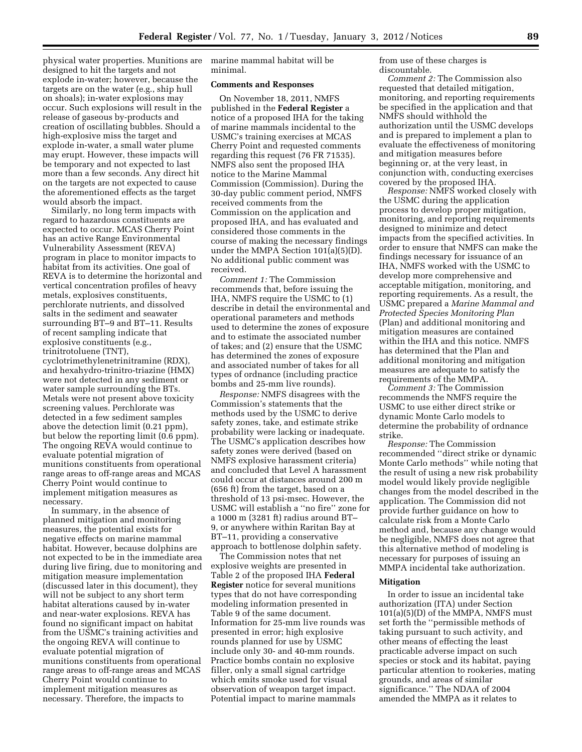physical water properties. Munitions are designed to hit the targets and not explode in-water; however, because the targets are on the water (e.g., ship hull on shoals); in-water explosions may occur. Such explosions will result in the release of gaseous by-products and creation of oscillating bubbles. Should a high-explosive miss the target and explode in-water, a small water plume may erupt. However, these impacts will be temporary and not expected to last more than a few seconds. Any direct hit on the targets are not expected to cause the aforementioned effects as the target would absorb the impact.

Similarly, no long term impacts with regard to hazardous constituents are expected to occur. MCAS Cherry Point has an active Range Environmental Vulnerability Assessment (REVA) program in place to monitor impacts to habitat from its activities. One goal of REVA is to determine the horizontal and vertical concentration profiles of heavy metals, explosives constituents, perchlorate nutrients, and dissolved salts in the sediment and seawater surrounding BT–9 and BT–11. Results of recent sampling indicate that explosive constituents (e.g., trinitrotoluene (TNT), cyclotrimethylenetrinitramine (RDX), and hexahydro-trinitro-triazine (HMX) were not detected in any sediment or water sample surrounding the BTs. Metals were not present above toxicity screening values. Perchlorate was detected in a few sediment samples above the detection limit (0.21 ppm), but below the reporting limit (0.6 ppm). The ongoing REVA would continue to evaluate potential migration of munitions constituents from operational range areas to off-range areas and MCAS Cherry Point would continue to implement mitigation measures as necessary.

In summary, in the absence of planned mitigation and monitoring measures, the potential exists for negative effects on marine mammal habitat. However, because dolphins are not expected to be in the immediate area during live firing, due to monitoring and mitigation measure implementation (discussed later in this document), they will not be subject to any short term habitat alterations caused by in-water and near-water explosions. REVA has found no significant impact on habitat from the USMC's training activities and the ongoing REVA will continue to evaluate potential migration of munitions constituents from operational range areas to off-range areas and MCAS Cherry Point would continue to implement mitigation measures as necessary. Therefore, the impacts to

marine mammal habitat will be minimal.

## **Comments and Responses**

On November 18, 2011, NMFS published in the **Federal Register** a notice of a proposed IHA for the taking of marine mammals incidental to the USMC's training exercises at MCAS Cherry Point and requested comments regarding this request (76 FR 71535). NMFS also sent the proposed IHA notice to the Marine Mammal Commission (Commission). During the 30-day public comment period, NMFS received comments from the Commission on the application and proposed IHA, and has evaluated and considered those comments in the course of making the necessary findings under the MMPA Section 101(a)(5)(D). No additional public comment was received.

*Comment 1:* The Commission recommends that, before issuing the IHA, NMFS require the USMC to (1) describe in detail the environmental and operational parameters and methods used to determine the zones of exposure and to estimate the associated number of takes; and (2) ensure that the USMC has determined the zones of exposure and associated number of takes for all types of ordnance (including practice bombs and 25-mm live rounds).

*Response:* NMFS disagrees with the Commission's statements that the methods used by the USMC to derive safety zones, take, and estimate strike probability were lacking or inadequate. The USMC's application describes how safety zones were derived (based on NMFS explosive harassment criteria) and concluded that Level A harassment could occur at distances around 200 m (656 ft) from the target, based on a threshold of 13 psi-msec. However, the USMC will establish a ''no fire'' zone for a 1000 m (3281 ft) radius around BT– 9, or anywhere within Raritan Bay at BT–11, providing a conservative approach to bottlenose dolphin safety.

The Commission notes that net explosive weights are presented in Table 2 of the proposed IHA **Federal Register** notice for several munitions types that do not have corresponding modeling information presented in Table 9 of the same document. Information for 25-mm live rounds was presented in error; high explosive rounds planned for use by USMC include only 30- and 40-mm rounds. Practice bombs contain no explosive filler, only a small signal cartridge which emits smoke used for visual observation of weapon target impact. Potential impact to marine mammals

from use of these charges is discountable.

*Comment 2:* The Commission also requested that detailed mitigation, monitoring, and reporting requirements be specified in the application and that NMFS should withhold the authorization until the USMC develops and is prepared to implement a plan to evaluate the effectiveness of monitoring and mitigation measures before beginning or, at the very least, in conjunction with, conducting exercises covered by the proposed IHA.

*Response:* NMFS worked closely with the USMC during the application process to develop proper mitigation, monitoring, and reporting requirements designed to minimize and detect impacts from the specified activities. In order to ensure that NMFS can make the findings necessary for issuance of an IHA, NMFS worked with the USMC to develop more comprehensive and acceptable mitigation, monitoring, and reporting requirements. As a result, the USMC prepared a *Marine Mammal and Protected Species Monitoring Plan*  (Plan) and additional monitoring and mitigation measures are contained within the IHA and this notice. NMFS has determined that the Plan and additional monitoring and mitigation measures are adequate to satisfy the requirements of the MMPA.

*Comment 3:* The Commission recommends the NMFS require the USMC to use either direct strike or dynamic Monte Carlo models to determine the probability of ordnance strike.

*Response:* The Commission recommended ''direct strike or dynamic Monte Carlo methods'' while noting that the result of using a new risk probability model would likely provide negligible changes from the model described in the application. The Commission did not provide further guidance on how to calculate risk from a Monte Carlo method and, because any change would be negligible, NMFS does not agree that this alternative method of modeling is necessary for purposes of issuing an MMPA incidental take authorization.

#### **Mitigation**

In order to issue an incidental take authorization (ITA) under Section 101(a)(5)(D) of the MMPA, NMFS must set forth the ''permissible methods of taking pursuant to such activity, and other means of effecting the least practicable adverse impact on such species or stock and its habitat, paying particular attention to rookeries, mating grounds, and areas of similar significance.'' The NDAA of 2004 amended the MMPA as it relates to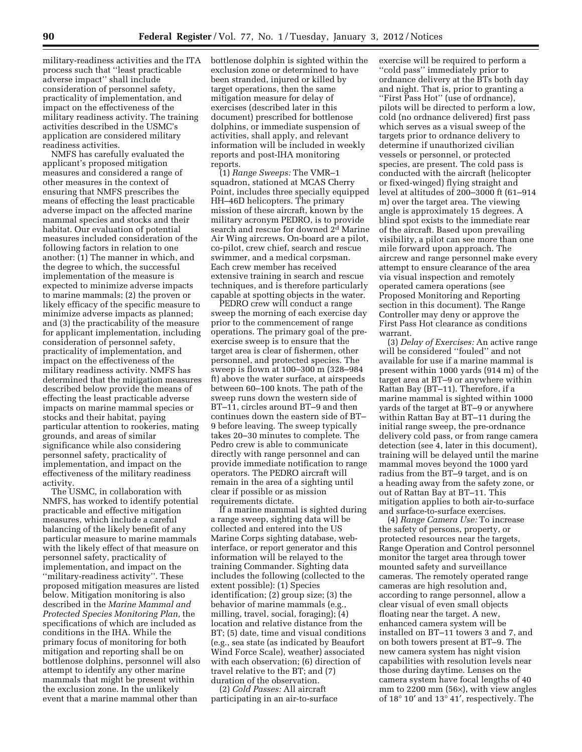military-readiness activities and the ITA process such that ''least practicable adverse impact'' shall include consideration of personnel safety, practicality of implementation, and impact on the effectiveness of the military readiness activity. The training activities described in the USMC's application are considered military readiness activities.

NMFS has carefully evaluated the applicant's proposed mitigation measures and considered a range of other measures in the context of ensuring that NMFS prescribes the means of effecting the least practicable adverse impact on the affected marine mammal species and stocks and their habitat. Our evaluation of potential measures included consideration of the following factors in relation to one another: (1) The manner in which, and the degree to which, the successful implementation of the measure is expected to minimize adverse impacts to marine mammals; (2) the proven or likely efficacy of the specific measure to minimize adverse impacts as planned; and (3) the practicability of the measure for applicant implementation, including consideration of personnel safety, practicality of implementation, and impact on the effectiveness of the military readiness activity. NMFS has determined that the mitigation measures described below provide the means of effecting the least practicable adverse impacts on marine mammal species or stocks and their habitat, paying particular attention to rookeries, mating grounds, and areas of similar significance while also considering personnel safety, practicality of implementation, and impact on the effectiveness of the military readiness activity.

The USMC, in collaboration with NMFS, has worked to identify potential practicable and effective mitigation measures, which include a careful balancing of the likely benefit of any particular measure to marine mammals with the likely effect of that measure on personnel safety, practicality of implementation, and impact on the ''military-readiness activity''. These proposed mitigation measures are listed below. Mitigation monitoring is also described in the *Marine Mammal and Protected Species Monitoring Plan,* the specifications of which are included as conditions in the IHA. While the primary focus of monitoring for both mitigation and reporting shall be on bottlenose dolphins, personnel will also attempt to identify any other marine mammals that might be present within the exclusion zone. In the unlikely event that a marine mammal other than

bottlenose dolphin is sighted within the exclusion zone or determined to have been stranded, injured or killed by target operations, then the same mitigation measure for delay of exercises (described later in this document) prescribed for bottlenose dolphins, or immediate suspension of activities, shall apply, and relevant information will be included in weekly reports and post-IHA monitoring reports.

(1) *Range Sweeps:* The VMR–1 squadron, stationed at MCAS Cherry Point, includes three specially equipped HH–46D helicopters. The primary mission of these aircraft, known by the military acronym PEDRO, is to provide search and rescue for downed 2d Marine Air Wing aircrews. On-board are a pilot, co-pilot, crew chief, search and rescue swimmer, and a medical corpsman. Each crew member has received extensive training in search and rescue techniques, and is therefore particularly capable at spotting objects in the water.

PEDRO crew will conduct a range sweep the morning of each exercise day prior to the commencement of range operations. The primary goal of the preexercise sweep is to ensure that the target area is clear of fishermen, other personnel, and protected species. The sweep is flown at 100–300 m (328–984 ft) above the water surface, at airspeeds between 60–100 knots. The path of the sweep runs down the western side of BT–11, circles around BT–9 and then continues down the eastern side of BT– 9 before leaving. The sweep typically takes 20–30 minutes to complete. The Pedro crew is able to communicate directly with range personnel and can provide immediate notification to range operators. The PEDRO aircraft will remain in the area of a sighting until clear if possible or as mission requirements dictate.

If a marine mammal is sighted during a range sweep, sighting data will be collected and entered into the US Marine Corps sighting database, webinterface, or report generator and this information will be relayed to the training Commander. Sighting data includes the following (collected to the extent possible): (1) Species identification; (2) group size; (3) the behavior of marine mammals (e.g., milling, travel, social, foraging); (4) location and relative distance from the BT; (5) date, time and visual conditions (e.g., sea state (as indicated by Beaufort Wind Force Scale), weather) associated with each observation; (6) direction of travel relative to the BT; and (7) duration of the observation.

(2) *Cold Passes:* All aircraft participating in an air-to-surface

exercise will be required to perform a ''cold pass'' immediately prior to ordnance delivery at the BTs both day and night. That is, prior to granting a ''First Pass Hot'' (use of ordnance), pilots will be directed to perform a low, cold (no ordnance delivered) first pass which serves as a visual sweep of the targets prior to ordnance delivery to determine if unauthorized civilian vessels or personnel, or protected species, are present. The cold pass is conducted with the aircraft (helicopter or fixed-winged) flying straight and level at altitudes of 200–3000 ft (61–914 m) over the target area. The viewing angle is approximately 15 degrees. A blind spot exists to the immediate rear of the aircraft. Based upon prevailing visibility, a pilot can see more than one mile forward upon approach. The aircrew and range personnel make every attempt to ensure clearance of the area via visual inspection and remotely operated camera operations (see Proposed Monitoring and Reporting section in this document). The Range Controller may deny or approve the First Pass Hot clearance as conditions warrant.

(3) *Delay of Exercises:* An active range will be considered ''fouled'' and not available for use if a marine mammal is present within 1000 yards (914 m) of the target area at BT–9 or anywhere within Rattan Bay (BT–11). Therefore, if a marine mammal is sighted within 1000 yards of the target at BT–9 or anywhere within Rattan Bay at BT–11 during the initial range sweep, the pre-ordnance delivery cold pass, or from range camera detection (see 4, later in this document), training will be delayed until the marine mammal moves beyond the 1000 yard radius from the BT–9 target, and is on a heading away from the safety zone, or out of Rattan Bay at BT–11. This mitigation applies to both air-to-surface and surface-to-surface exercises.

(4) *Range Camera Use:* To increase the safety of persons, property, or protected resources near the targets, Range Operation and Control personnel monitor the target area through tower mounted safety and surveillance cameras. The remotely operated range cameras are high resolution and, according to range personnel, allow a clear visual of even small objects floating near the target. A new, enhanced camera system will be installed on BT–11 towers 3 and 7, and on both towers present at BT–9. The new camera system has night vision capabilities with resolution levels near those during daytime. Lenses on the camera system have focal lengths of 40 mm to 2200 mm (56×), with view angles of 18° 10′ and 13° 41′, respectively. The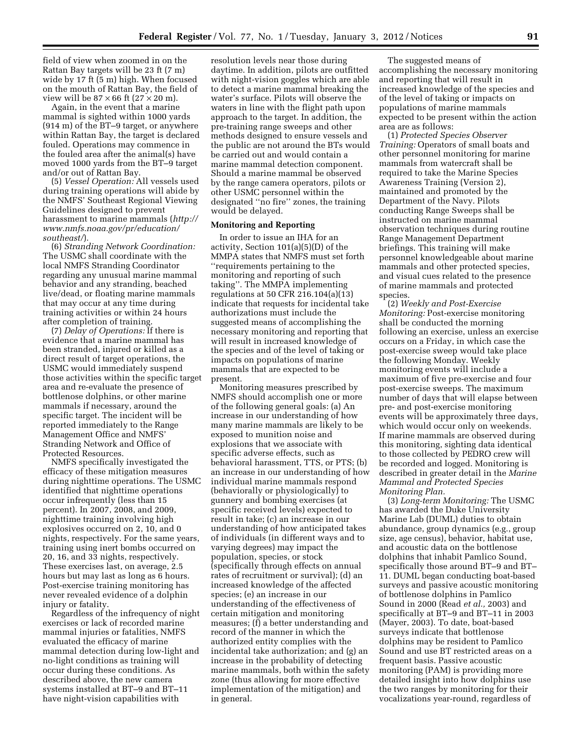field of view when zoomed in on the Rattan Bay targets will be 23 ft (7 m) wide by 17 ft (5 m) high. When focused on the mouth of Rattan Bay, the field of view will be  $87 \times 66$  ft  $(27 \times 20 \text{ m})$ .

Again, in the event that a marine mammal is sighted within 1000 yards (914 m) of the BT–9 target, or anywhere within Rattan Bay, the target is declared fouled. Operations may commence in the fouled area after the animal(s) have moved 1000 yards from the BT–9 target and/or out of Rattan Bay.

(5) *Vessel Operation:* All vessels used during training operations will abide by the NMFS' Southeast Regional Viewing Guidelines designed to prevent harassment to marine mammals (*[http://](http://www.nmfs.noaa.gov/pr/education/southeast/) [www.nmfs.noaa.gov/pr/education/](http://www.nmfs.noaa.gov/pr/education/southeast/) [southeast/](http://www.nmfs.noaa.gov/pr/education/southeast/)*).

(6) *Stranding Network Coordination:*  The USMC shall coordinate with the local NMFS Stranding Coordinator regarding any unusual marine mammal behavior and any stranding, beached live/dead, or floating marine mammals that may occur at any time during training activities or within 24 hours after completion of training.

(7) *Delay of Operations:* If there is evidence that a marine mammal has been stranded, injured or killed as a direct result of target operations, the USMC would immediately suspend those activities within the specific target area and re-evaluate the presence of bottlenose dolphins, or other marine mammals if necessary, around the specific target. The incident will be reported immediately to the Range Management Office and NMFS' Stranding Network and Office of Protected Resources.

NMFS specifically investigated the efficacy of these mitigation measures during nighttime operations. The USMC identified that nighttime operations occur infrequently (less than 15 percent). In 2007, 2008, and 2009, nighttime training involving high explosives occurred on 2, 10, and 0 nights, respectively. For the same years, training using inert bombs occurred on 20, 16, and 33 nights, respectively. These exercises last, on average, 2.5 hours but may last as long as 6 hours. Post-exercise training monitoring has never revealed evidence of a dolphin injury or fatality.

Regardless of the infrequency of night exercises or lack of recorded marine mammal injuries or fatalities, NMFS evaluated the efficacy of marine mammal detection during low-light and no-light conditions as training will occur during these conditions. As described above, the new camera systems installed at BT–9 and BT–11 have night-vision capabilities with

resolution levels near those during daytime. In addition, pilots are outfitted with night-vision goggles which are able to detect a marine mammal breaking the water's surface. Pilots will observe the waters in line with the flight path upon approach to the target. In addition, the pre-training range sweeps and other methods designed to ensure vessels and the public are not around the BTs would be carried out and would contain a marine mammal detection component. Should a marine mammal be observed by the range camera operators, pilots or other USMC personnel within the designated ''no fire'' zones, the training would be delayed.

# **Monitoring and Reporting**

In order to issue an IHA for an activity, Section 101(a)(5)(D) of the MMPA states that NMFS must set forth ''requirements pertaining to the monitoring and reporting of such taking''. The MMPA implementing regulations at 50 CFR 216.104(a)(13) indicate that requests for incidental take authorizations must include the suggested means of accomplishing the necessary monitoring and reporting that will result in increased knowledge of the species and of the level of taking or impacts on populations of marine mammals that are expected to be present.

Monitoring measures prescribed by NMFS should accomplish one or more of the following general goals: (a) An increase in our understanding of how many marine mammals are likely to be exposed to munition noise and explosions that we associate with specific adverse effects, such as behavioral harassment, TTS, or PTS; (b) an increase in our understanding of how individual marine mammals respond (behaviorally or physiologically) to gunnery and bombing exercises (at specific received levels) expected to result in take; (c) an increase in our understanding of how anticipated takes of individuals (in different ways and to varying degrees) may impact the population, species, or stock (specifically through effects on annual rates of recruitment or survival); (d) an increased knowledge of the affected species; (e) an increase in our understanding of the effectiveness of certain mitigation and monitoring measures; (f) a better understanding and record of the manner in which the authorized entity complies with the incidental take authorization; and (g) an increase in the probability of detecting marine mammals, both within the safety zone (thus allowing for more effective implementation of the mitigation) and in general.

The suggested means of accomplishing the necessary monitoring and reporting that will result in increased knowledge of the species and of the level of taking or impacts on populations of marine mammals expected to be present within the action area are as follows:

(1) *Protected Species Observer Training:* Operators of small boats and other personnel monitoring for marine mammals from watercraft shall be required to take the Marine Species Awareness Training (Version 2), maintained and promoted by the Department of the Navy. Pilots conducting Range Sweeps shall be instructed on marine mammal observation techniques during routine Range Management Department briefings. This training will make personnel knowledgeable about marine mammals and other protected species, and visual cues related to the presence of marine mammals and protected species.

(2) *Weekly and Post-Exercise Monitoring:* Post-exercise monitoring shall be conducted the morning following an exercise, unless an exercise occurs on a Friday, in which case the post-exercise sweep would take place the following Monday. Weekly monitoring events will include a maximum of five pre-exercise and four post-exercise sweeps. The maximum number of days that will elapse between pre- and post-exercise monitoring events will be approximately three days, which would occur only on weekends. If marine mammals are observed during this monitoring, sighting data identical to those collected by PEDRO crew will be recorded and logged. Monitoring is described in greater detail in the *Marine Mammal and Protected Species Monitoring Plan.* 

(3) *Long-term Monitoring:* The USMC has awarded the Duke University Marine Lab (DUML) duties to obtain abundance, group dynamics (e.g., group size, age census), behavior, habitat use, and acoustic data on the bottlenose dolphins that inhabit Pamlico Sound, specifically those around BT–9 and BT– 11. DUML began conducting boat-based surveys and passive acoustic monitoring of bottlenose dolphins in Pamlico Sound in 2000 (Read *et al.,* 2003) and specifically at BT–9 and BT–11 in 2003 (Mayer, 2003). To date, boat-based surveys indicate that bottlenose dolphins may be resident to Pamlico Sound and use BT restricted areas on a frequent basis. Passive acoustic monitoring (PAM) is providing more detailed insight into how dolphins use the two ranges by monitoring for their vocalizations year-round, regardless of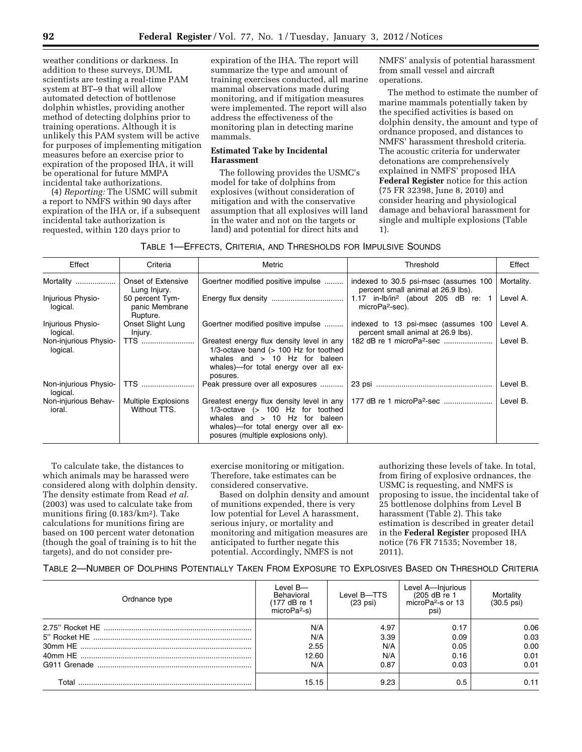weather conditions or darkness. In addition to these surveys, DUML scientists are testing a real-time PAM system at BT–9 that will allow automated detection of bottlenose dolphin whistles, providing another method of detecting dolphins prior to training operations. Although it is unlikely this PAM system will be active for purposes of implementing mitigation measures before an exercise prior to expiration of the proposed IHA, it will be operational for future MMPA incidental take authorizations.

(4) *Reporting:* The USMC will submit a report to NMFS within 90 days after expiration of the IHA or, if a subsequent incidental take authorization is requested, within 120 days prior to

expiration of the IHA. The report will summarize the type and amount of training exercises conducted, all marine mammal observations made during monitoring, and if mitigation measures were implemented. The report will also address the effectiveness of the monitoring plan in detecting marine mammals.

# **Estimated Take by Incidental Harassment**

The following provides the USMC's model for take of dolphins from explosives (without consideration of mitigation and with the conservative assumption that all explosives will land in the water and not on the targets or land) and potential for direct hits and

NMFS' analysis of potential harassment from small vessel and aircraft operations.

The method to estimate the number of marine mammals potentially taken by the specified activities is based on dolphin density, the amount and type of ordnance proposed, and distances to NMFS' harassment threshold criteria. The acoustic criteria for underwater detonations are comprehensively explained in NMFS' proposed IHA **Federal Register** notice for this action (75 FR 32398, June 8, 2010) and consider hearing and physiological damage and behavioral harassment for single and multiple explosions (Table 1).

| TABLE 1—EFFECTS, CRITERIA, AND THRESHOLDS FOR IMPULSIVE SOUNDS |  |  |  |  |
|----------------------------------------------------------------|--|--|--|--|
|----------------------------------------------------------------|--|--|--|--|

| Effect                            | Criteria                                      | Metric                                                                                                                                                                           | Threshold                                                                   | Effect     |
|-----------------------------------|-----------------------------------------------|----------------------------------------------------------------------------------------------------------------------------------------------------------------------------------|-----------------------------------------------------------------------------|------------|
| Mortality                         | Onset of Extensive<br>Lung Injury.            | Goertner modified positive impulse                                                                                                                                               | indexed to 30.5 psi-msec (assumes 100<br>percent small animal at 26.9 lbs). | Mortality. |
| Injurious Physio-<br>logical.     | 50 percent Tym-<br>panic Membrane<br>Rupture. |                                                                                                                                                                                  | 1.17 in-lb/in <sup>2</sup> (about 205 dB re:<br>microPa <sup>2</sup> -sec). | Level A.   |
| Injurious Physio-<br>logical.     | Onset Slight Lung<br>Injury.                  | Goertner modified positive impulse                                                                                                                                               | indexed to 13 psi-msec (assumes 100<br>percent small animal at 26.9 lbs).   | Level A.   |
| Non-injurious Physio-<br>logical. | <b>TTS</b>                                    | Greatest energy flux density level in any<br>$1/3$ -octave band ( $> 100$ Hz for toothed<br>whales and $> 10$ Hz for baleen<br>whales)—for total energy over all ex-<br>posures. |                                                                             | Level B.   |
| Non-injurious Physio-<br>logical. | <b>TTS</b>                                    | Peak pressure over all exposures                                                                                                                                                 |                                                                             | Level B.   |
| Non-injurious Behav-<br>ioral.    | <b>Multiple Explosions</b><br>Without TTS.    | $1/3$ -octave ( $> 100$ Hz for toothed<br>whales and $> 10$ Hz for baleen<br>whales)—for total energy over all ex-<br>posures (multiple explosions only).                        |                                                                             | Level B.   |

To calculate take, the distances to which animals may be harassed were considered along with dolphin density. The density estimate from Read *et al.*  (2003) was used to calculate take from munitions firing (0.183/km2). Take calculations for munitions firing are based on 100 percent water detonation (though the goal of training is to hit the targets), and do not consider preexercise monitoring or mitigation. Therefore, take estimates can be considered conservative.

Based on dolphin density and amount of munitions expended, there is very low potential for Level A harassment, serious injury, or mortality and monitoring and mitigation measures are anticipated to further negate this potential. Accordingly, NMFS is not

authorizing these levels of take. In total, from firing of explosive ordnances, the USMC is requesting, and NMFS is proposing to issue, the incidental take of 25 bottlenose dolphins from Level B harassment (Table 2). This take estimation is described in greater detail in the **Federal Register** proposed IHA notice (76 FR 71535; November 18, 2011).

| Ordnance type | Level $B$ —<br>Behavioral<br>(177 dB re 1<br>microPa <sup>2</sup> -s) | Level B-TTS<br>$(23 \text{ psi})$ | Level A-lnjurious<br>(205 dB re 1)<br>microPa <sup>2</sup> -s or 13<br>psi) | Mortality<br>$(30.5 \text{ psi})$ |
|---------------|-----------------------------------------------------------------------|-----------------------------------|-----------------------------------------------------------------------------|-----------------------------------|
|               | N/A<br>N/A<br>2.55                                                    | 4.97<br>3.39<br>N/A               | 0.17<br>0.09<br>0.05                                                        | 0.06<br>0.03<br>0.00              |
|               | 12.60<br>N/A                                                          | N/A<br>0.87                       | 0.16<br>0.03                                                                | 0.01<br>0.01                      |
| Total         | 15.15                                                                 | 9.23                              | 0.5                                                                         | 0.11                              |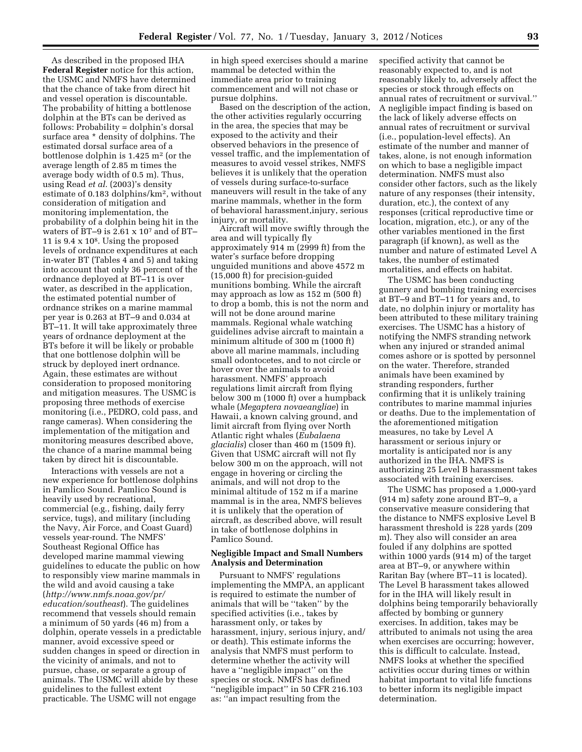As described in the proposed IHA **Federal Register** notice for this action, the USMC and NMFS have determined that the chance of take from direct hit and vessel operation is discountable. The probability of hitting a bottlenose dolphin at the BTs can be derived as follows: Probability = dolphin's dorsal surface area \* density of dolphins. The estimated dorsal surface area of a bottlenose dolphin is  $1.425 \text{ m}^2$  (or the average length of 2.85 m times the average body width of 0.5 m). Thus, using Read *et al.* (2003)'s density estimate of 0.183 dolphins/km2, without consideration of mitigation and monitoring implementation, the probability of a dolphin being hit in the waters of BT–9 is 2.61 x 107 and of BT– 11 is 9.4 x 108. Using the proposed levels of ordnance expenditures at each in-water BT (Tables 4 and 5) and taking into account that only 36 percent of the ordnance deployed at BT–11 is over water, as described in the application, the estimated potential number of ordnance strikes on a marine mammal per year is 0.263 at BT–9 and 0.034 at BT–11. It will take approximately three years of ordnance deployment at the BTs before it will be likely or probable that one bottlenose dolphin will be struck by deployed inert ordnance. Again, these estimates are without consideration to proposed monitoring and mitigation measures. The USMC is proposing three methods of exercise monitoring (i.e., PEDRO, cold pass, and range cameras). When considering the implementation of the mitigation and monitoring measures described above, the chance of a marine mammal being taken by direct hit is discountable.

Interactions with vessels are not a new experience for bottlenose dolphins in Pamlico Sound. Pamlico Sound is heavily used by recreational, commercial (e.g., fishing, daily ferry service, tugs), and military (including the Navy, Air Force, and Coast Guard) vessels year-round. The NMFS' Southeast Regional Office has developed marine mammal viewing guidelines to educate the public on how to responsibly view marine mammals in the wild and avoid causing a take (*[http://www.nmfs.noaa.gov/pr/](http://www.nmfs.noaa.gov/pr/education/southeast)  [education/southeast](http://www.nmfs.noaa.gov/pr/education/southeast)*). The guidelines recommend that vessels should remain a minimum of 50 yards (46 m) from a dolphin, operate vessels in a predictable manner, avoid excessive speed or sudden changes in speed or direction in the vicinity of animals, and not to pursue, chase, or separate a group of animals. The USMC will abide by these guidelines to the fullest extent practicable. The USMC will not engage

in high speed exercises should a marine mammal be detected within the immediate area prior to training commencement and will not chase or pursue dolphins.

Based on the description of the action, the other activities regularly occurring in the area, the species that may be exposed to the activity and their observed behaviors in the presence of vessel traffic, and the implementation of measures to avoid vessel strikes, NMFS believes it is unlikely that the operation of vessels during surface-to-surface maneuvers will result in the take of any marine mammals, whether in the form of behavioral harassment,injury, serious injury, or mortality.

Aircraft will move swiftly through the area and will typically fly approximately 914 m (2999 ft) from the water's surface before dropping unguided munitions and above 4572 m (15,000 ft) for precision-guided munitions bombing. While the aircraft may approach as low as 152 m (500 ft) to drop a bomb, this is not the norm and will not be done around marine mammals. Regional whale watching guidelines advise aircraft to maintain a minimum altitude of 300 m (1000 ft) above all marine mammals, including small odontocetes, and to not circle or hover over the animals to avoid harassment. NMFS' approach regulations limit aircraft from flying below 300 m (1000 ft) over a humpback whale (*Megaptera novaeangliae*) in Hawaii, a known calving ground, and limit aircraft from flying over North Atlantic right whales (*Eubalaena glacialis*) closer than 460 m (1509 ft). Given that USMC aircraft will not fly below 300 m on the approach, will not engage in hovering or circling the animals, and will not drop to the minimal altitude of 152 m if a marine mammal is in the area, NMFS believes it is unlikely that the operation of aircraft, as described above, will result in take of bottlenose dolphins in Pamlico Sound.

# **Negligible Impact and Small Numbers Analysis and Determination**

Pursuant to NMFS' regulations implementing the MMPA, an applicant is required to estimate the number of animals that will be ''taken'' by the specified activities (i.e., takes by harassment only, or takes by harassment, injury, serious injury, and/ or death). This estimate informs the analysis that NMFS must perform to determine whether the activity will have a ''negligible impact'' on the species or stock. NMFS has defined ''negligible impact'' in 50 CFR 216.103 as: ''an impact resulting from the

specified activity that cannot be reasonably expected to, and is not reasonably likely to, adversely affect the species or stock through effects on annual rates of recruitment or survival.'' A negligible impact finding is based on the lack of likely adverse effects on annual rates of recruitment or survival (i.e., population-level effects). An estimate of the number and manner of takes, alone, is not enough information on which to base a negligible impact determination. NMFS must also consider other factors, such as the likely nature of any responses (their intensity, duration, etc.), the context of any responses (critical reproductive time or location, migration, etc.), or any of the other variables mentioned in the first paragraph (if known), as well as the number and nature of estimated Level A takes, the number of estimated mortalities, and effects on habitat.

The USMC has been conducting gunnery and bombing training exercises at BT–9 and BT–11 for years and, to date, no dolphin injury or mortality has been attributed to these military training exercises. The USMC has a history of notifying the NMFS stranding network when any injured or stranded animal comes ashore or is spotted by personnel on the water. Therefore, stranded animals have been examined by stranding responders, further confirming that it is unlikely training contributes to marine mammal injuries or deaths. Due to the implementation of the aforementioned mitigation measures, no take by Level A harassment or serious injury or mortality is anticipated nor is any authorized in the IHA. NMFS is authorizing 25 Level B harassment takes associated with training exercises.

The USMC has proposed a 1,000-yard (914 m) safety zone around BT–9, a conservative measure considering that the distance to NMFS explosive Level B harassment threshold is 228 yards (209 m). They also will consider an area fouled if any dolphins are spotted within 1000 yards (914 m) of the target area at BT–9, or anywhere within Raritan Bay (where BT–11 is located). The Level B harassment takes allowed for in the IHA will likely result in dolphins being temporarily behaviorally affected by bombing or gunnery exercises. In addition, takes may be attributed to animals not using the area when exercises are occurring; however, this is difficult to calculate. Instead, NMFS looks at whether the specified activities occur during times or within habitat important to vital life functions to better inform its negligible impact determination.